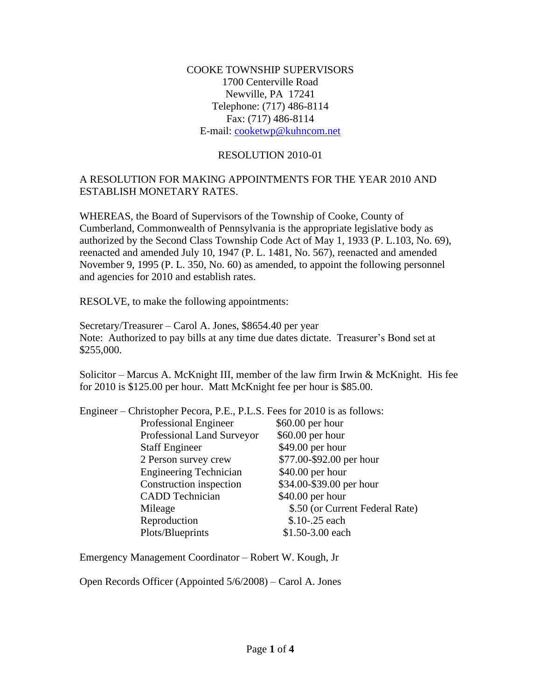COOKE TOWNSHIP SUPERVISORS 1700 Centerville Road Newville, PA 17241 Telephone: (717) 486-8114 Fax: (717) 486-8114 E-mail: [cooketwp@kuhncom.net](mailto:cooketwp@kuhncom.net)

## RESOLUTION 2010-01

## A RESOLUTION FOR MAKING APPOINTMENTS FOR THE YEAR 2010 AND ESTABLISH MONETARY RATES.

WHEREAS, the Board of Supervisors of the Township of Cooke, County of Cumberland, Commonwealth of Pennsylvania is the appropriate legislative body as authorized by the Second Class Township Code Act of May 1, 1933 (P. L.103, No. 69), reenacted and amended July 10, 1947 (P. L. 1481, No. 567), reenacted and amended November 9, 1995 (P. L. 350, No. 60) as amended, to appoint the following personnel and agencies for 2010 and establish rates.

RESOLVE, to make the following appointments:

Secretary/Treasurer – Carol A. Jones, \$8654.40 per year Note: Authorized to pay bills at any time due dates dictate. Treasurer's Bond set at \$255,000.

Solicitor – Marcus A. McKnight III, member of the law firm Irwin & McKnight. His fee for 2010 is \$125.00 per hour. Matt McKnight fee per hour is \$85.00.

| Engineer – Christopher Pecora, P.E., P.L.S. Fees for 2010 is as follows: |                                 |
|--------------------------------------------------------------------------|---------------------------------|
| Professional Engineer                                                    | $$60.00$ per hour               |
| Professional Land Surveyor                                               | $$60.00$ per hour               |
| <b>Staff Engineer</b>                                                    | \$49.00 per hour                |
| 2 Person survey crew                                                     | \$77.00-\$92.00 per hour        |
| <b>Engineering Technician</b>                                            | $$40.00$ per hour               |
| Construction inspection                                                  | \$34.00-\$39.00 per hour        |
| <b>CADD</b> Technician                                                   | $$40.00$ per hour               |
| Mileage                                                                  | \$.50 (or Current Federal Rate) |
| Reproduction                                                             | \$.10-.25 each                  |
| Plots/Blueprints                                                         | \$1.50-3.00 each                |
|                                                                          |                                 |

Emergency Management Coordinator – Robert W. Kough, Jr

Open Records Officer (Appointed 5/6/2008) – Carol A. Jones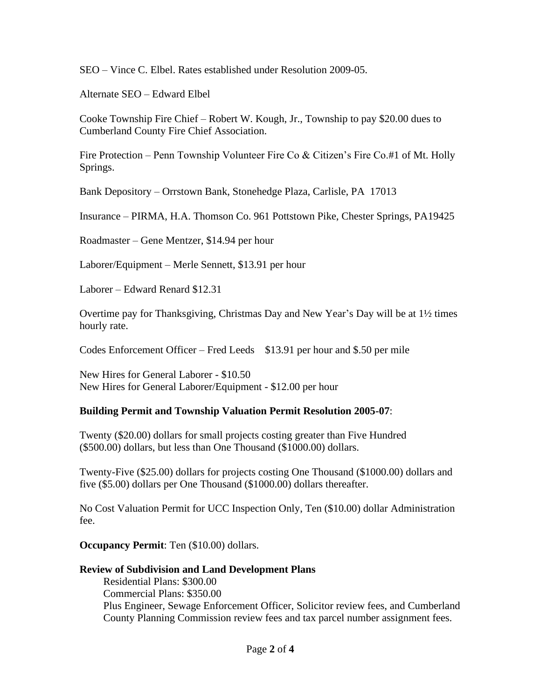SEO – Vince C. Elbel. Rates established under Resolution 2009-05.

Alternate SEO – Edward Elbel

Cooke Township Fire Chief – Robert W. Kough, Jr., Township to pay \$20.00 dues to Cumberland County Fire Chief Association.

Fire Protection – Penn Township Volunteer Fire Co & Citizen's Fire Co.#1 of Mt. Holly Springs.

Bank Depository – Orrstown Bank, Stonehedge Plaza, Carlisle, PA 17013

Insurance – PIRMA, H.A. Thomson Co. 961 Pottstown Pike, Chester Springs, PA19425

Roadmaster – Gene Mentzer, \$14.94 per hour

Laborer/Equipment – Merle Sennett, \$13.91 per hour

Laborer – Edward Renard \$12.31

Overtime pay for Thanksgiving, Christmas Day and New Year's Day will be at 1½ times hourly rate.

Codes Enforcement Officer – Fred Leeds \$13.91 per hour and \$.50 per mile

New Hires for General Laborer - \$10.50 New Hires for General Laborer/Equipment - \$12.00 per hour

## **Building Permit and Township Valuation Permit Resolution 2005-07**:

Twenty (\$20.00) dollars for small projects costing greater than Five Hundred (\$500.00) dollars, but less than One Thousand (\$1000.00) dollars.

Twenty-Five (\$25.00) dollars for projects costing One Thousand (\$1000.00) dollars and five (\$5.00) dollars per One Thousand (\$1000.00) dollars thereafter.

No Cost Valuation Permit for UCC Inspection Only, Ten (\$10.00) dollar Administration fee.

**Occupancy Permit**: Ten (\$10.00) dollars.

## **Review of Subdivision and Land Development Plans**

 Residential Plans: \$300.00 Commercial Plans: \$350.00 Plus Engineer, Sewage Enforcement Officer, Solicitor review fees, and Cumberland County Planning Commission review fees and tax parcel number assignment fees.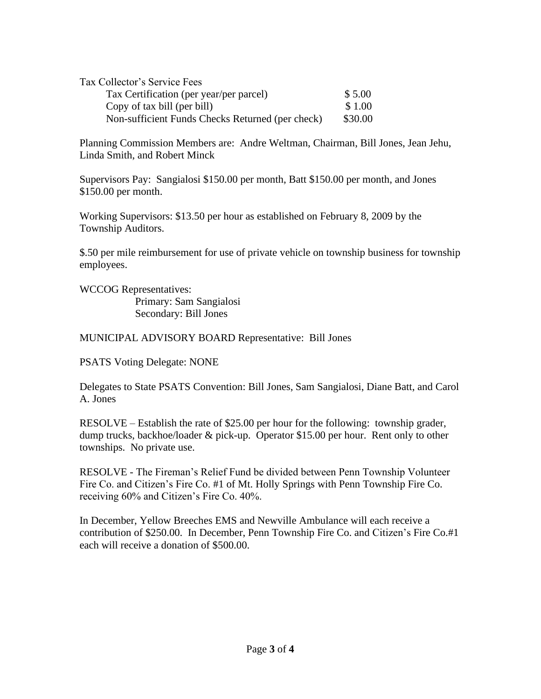| Tax Collector's Service Fees                     |         |
|--------------------------------------------------|---------|
| Tax Certification (per year/per parcel)          | \$5.00  |
| Copy of tax bill (per bill)                      | \$1.00  |
| Non-sufficient Funds Checks Returned (per check) | \$30.00 |

Planning Commission Members are: Andre Weltman, Chairman, Bill Jones, Jean Jehu, Linda Smith, and Robert Minck

Supervisors Pay: Sangialosi \$150.00 per month, Batt \$150.00 per month, and Jones \$150.00 per month.

Working Supervisors: \$13.50 per hour as established on February 8, 2009 by the Township Auditors.

\$.50 per mile reimbursement for use of private vehicle on township business for township employees.

WCCOG Representatives: Primary: Sam Sangialosi Secondary: Bill Jones

MUNICIPAL ADVISORY BOARD Representative: Bill Jones

PSATS Voting Delegate: NONE

Delegates to State PSATS Convention: Bill Jones, Sam Sangialosi, Diane Batt, and Carol A. Jones

RESOLVE – Establish the rate of \$25.00 per hour for the following: township grader, dump trucks, backhoe/loader & pick-up. Operator \$15.00 per hour. Rent only to other townships. No private use.

RESOLVE - The Fireman's Relief Fund be divided between Penn Township Volunteer Fire Co. and Citizen's Fire Co. #1 of Mt. Holly Springs with Penn Township Fire Co. receiving 60% and Citizen's Fire Co. 40%.

In December, Yellow Breeches EMS and Newville Ambulance will each receive a contribution of \$250.00. In December, Penn Township Fire Co. and Citizen's Fire Co.#1 each will receive a donation of \$500.00.